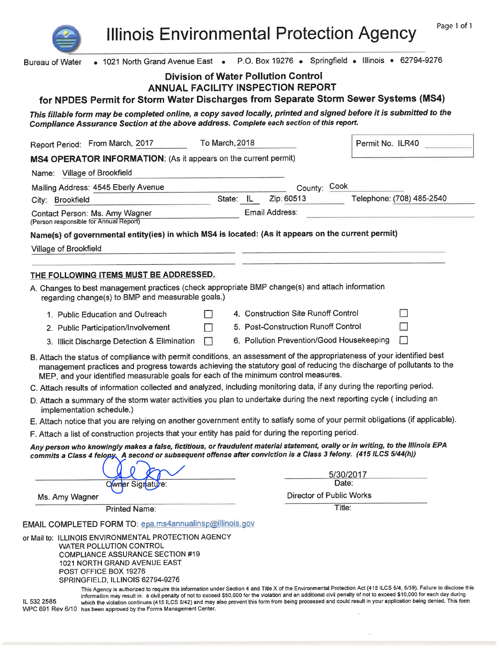**Illinois Environmental Protection Agency** 

| • 1021 North Grand Avenue East • P.O. Box 19276 • Springfield • Illinois • 62794-9276<br><b>Bureau of Water</b>                                                                                                                                                                                                                                                                                                             |                |                                            |                           |  |  |  |  |
|-----------------------------------------------------------------------------------------------------------------------------------------------------------------------------------------------------------------------------------------------------------------------------------------------------------------------------------------------------------------------------------------------------------------------------|----------------|--------------------------------------------|---------------------------|--|--|--|--|
|                                                                                                                                                                                                                                                                                                                                                                                                                             |                | <b>Division of Water Pollution Control</b> |                           |  |  |  |  |
|                                                                                                                                                                                                                                                                                                                                                                                                                             |                | <b>ANNUAL FACILITY INSPECTION REPORT</b>   |                           |  |  |  |  |
| for NPDES Permit for Storm Water Discharges from Separate Storm Sewer Systems (MS4)                                                                                                                                                                                                                                                                                                                                         |                |                                            |                           |  |  |  |  |
| This fillable form may be completed online, a copy saved locally, printed and signed before it is submitted to the<br>Compliance Assurance Section at the above address. Complete each section of this report.                                                                                                                                                                                                              |                |                                            |                           |  |  |  |  |
| Report Period: From March, 2017                                                                                                                                                                                                                                                                                                                                                                                             | To March, 2018 |                                            | Permit No. ILR40          |  |  |  |  |
| MS4 OPERATOR INFORMATION: (As it appears on the current permit)                                                                                                                                                                                                                                                                                                                                                             |                |                                            |                           |  |  |  |  |
| Name: Village of Brookfield                                                                                                                                                                                                                                                                                                                                                                                                 |                |                                            |                           |  |  |  |  |
| Mailing Address: 4545 Eberly Avenue                                                                                                                                                                                                                                                                                                                                                                                         |                | County: Cook                               |                           |  |  |  |  |
| City: Brookfield                                                                                                                                                                                                                                                                                                                                                                                                            | State: IL      | Zip: 60513                                 | Telephone: (708) 485-2540 |  |  |  |  |
| Contact Person: Ms. Amy Wagner<br>(Person responsible for Annual Report)                                                                                                                                                                                                                                                                                                                                                    |                | Email Address:                             |                           |  |  |  |  |
| Name(s) of governmental entity(ies) in which MS4 is located: (As it appears on the current permit)                                                                                                                                                                                                                                                                                                                          |                |                                            |                           |  |  |  |  |
| Village of Brookfield                                                                                                                                                                                                                                                                                                                                                                                                       |                |                                            |                           |  |  |  |  |
|                                                                                                                                                                                                                                                                                                                                                                                                                             |                |                                            |                           |  |  |  |  |
| THE FOLLOWING ITEMS MUST BE ADDRESSED.                                                                                                                                                                                                                                                                                                                                                                                      |                |                                            |                           |  |  |  |  |
| A. Changes to best management practices (check appropriate BMP change(s) and attach information                                                                                                                                                                                                                                                                                                                             |                |                                            |                           |  |  |  |  |
| regarding change(s) to BMP and measurable goals.)                                                                                                                                                                                                                                                                                                                                                                           |                |                                            |                           |  |  |  |  |
| 1. Public Education and Outreach                                                                                                                                                                                                                                                                                                                                                                                            |                | 4. Construction Site Runoff Control        | H                         |  |  |  |  |
| 2. Public Participation/Involvement                                                                                                                                                                                                                                                                                                                                                                                         | $\blacksquare$ | 5. Post-Construction Runoff Control        | М                         |  |  |  |  |
| 3. Illicit Discharge Detection & Elimination                                                                                                                                                                                                                                                                                                                                                                                | H              | 6. Pollution Prevention/Good Housekeeping  | П                         |  |  |  |  |
| B. Attach the status of compliance with permit conditions, an assessment of the appropriateness of your identified best<br>management practices and progress towards achieving the statutory goal of reducing the discharge of pollutants to the<br>MEP, and your identified measurable goals for each of the minimum control measures.                                                                                     |                |                                            |                           |  |  |  |  |
| C. Attach results of information collected and analyzed, including monitoring data, if any during the reporting period.                                                                                                                                                                                                                                                                                                     |                |                                            |                           |  |  |  |  |
| D. Attach a summary of the storm water activities you plan to undertake during the next reporting cycle (including an<br>implementation schedule.)                                                                                                                                                                                                                                                                          |                |                                            |                           |  |  |  |  |
| E. Attach notice that you are relying on another government entity to satisfy some of your permit obligations (if applicable).                                                                                                                                                                                                                                                                                              |                |                                            |                           |  |  |  |  |
| F. Attach a list of construction projects that your entity has paid for during the reporting period.                                                                                                                                                                                                                                                                                                                        |                |                                            |                           |  |  |  |  |
| Any person who knowingly makes a false, fictitious, or fraudulent material statement, orally or in writing, to the Illinois EPA<br>commits a Class 4 felopy. A second or subsequent offense after conviction is a Class 3 felony. (415 ILCS 5/44(h))                                                                                                                                                                        |                |                                            |                           |  |  |  |  |
|                                                                                                                                                                                                                                                                                                                                                                                                                             |                |                                            |                           |  |  |  |  |
| Owner Signature:                                                                                                                                                                                                                                                                                                                                                                                                            |                |                                            | 5/30/2017<br>Date:        |  |  |  |  |
| Ms. Amy Wagner                                                                                                                                                                                                                                                                                                                                                                                                              |                | <b>Director of Public Works</b>            |                           |  |  |  |  |
| <b>Printed Name:</b>                                                                                                                                                                                                                                                                                                                                                                                                        |                |                                            | Title:                    |  |  |  |  |
|                                                                                                                                                                                                                                                                                                                                                                                                                             |                |                                            |                           |  |  |  |  |
| EMAIL COMPLETED FORM TO: epa.ms4annualinsp@illinois.gov                                                                                                                                                                                                                                                                                                                                                                     |                |                                            |                           |  |  |  |  |
| or Mail to: ILLINOIS ENVIRONMENTAL PROTECTION AGENCY<br><b>WATER POLLUTION CONTROL</b>                                                                                                                                                                                                                                                                                                                                      |                |                                            |                           |  |  |  |  |
| <b>COMPLIANCE ASSURANCE SECTION #19</b>                                                                                                                                                                                                                                                                                                                                                                                     |                |                                            |                           |  |  |  |  |
| 1021 NORTH GRAND AVENUE EAST                                                                                                                                                                                                                                                                                                                                                                                                |                |                                            |                           |  |  |  |  |
| POST OFFICE BOX 19276<br>SPRINGFIELD, ILLINOIS 62794-9276                                                                                                                                                                                                                                                                                                                                                                   |                |                                            |                           |  |  |  |  |
| This Agency is authorized to require this information under Section 4 and Title X of the Environmental Protection Act (415 ILCS 5/4, 5/39). Failure to disclose this                                                                                                                                                                                                                                                        |                |                                            |                           |  |  |  |  |
| information may result in: a civil penalty of not to exceed \$50,000 for the violation and an additional civil penalty of not to exceed \$10,000 for each day during<br>which the violation continues (415 ILCS 5/42) and may also prevent this form from being processed and could result in your application being denied. This form<br>IL 532 2585<br>WPC 691 Rev 6/10 has been approved by the Forms Management Center. |                |                                            |                           |  |  |  |  |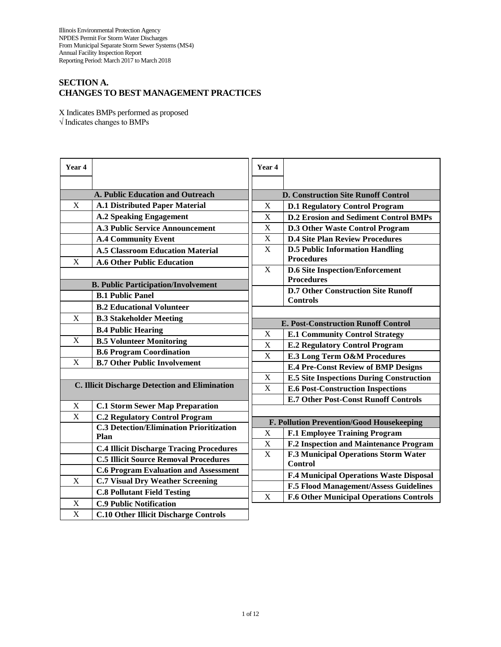# **SECTION A. CHANGES TO BEST MANAGEMENT PRACTICES**

X Indicates BMPs performed as proposed √ Indicates changes to BMPs

| Year 4                                         |                                                 | Year 4                                     |                                                             |  |  |  |
|------------------------------------------------|-------------------------------------------------|--------------------------------------------|-------------------------------------------------------------|--|--|--|
|                                                |                                                 |                                            |                                                             |  |  |  |
|                                                | <b>A. Public Education and Outreach</b>         |                                            | <b>D. Construction Site Runoff Control</b>                  |  |  |  |
| X                                              | <b>A.1 Distributed Paper Material</b>           | $\mathbf X$                                | <b>D.1 Regulatory Control Program</b>                       |  |  |  |
|                                                | <b>A.2 Speaking Engagement</b>                  | $\mathbf X$                                | <b>D.2 Erosion and Sediment Control BMPs</b>                |  |  |  |
|                                                | <b>A.3 Public Service Announcement</b>          | $\mathbf X$                                | <b>D.3 Other Waste Control Program</b>                      |  |  |  |
|                                                | <b>A.4 Community Event</b>                      | X                                          | <b>D.4 Site Plan Review Procedures</b>                      |  |  |  |
|                                                | <b>A.5 Classroom Education Material</b>         | X                                          | <b>D.5 Public Information Handling</b>                      |  |  |  |
| X                                              | <b>A.6 Other Public Education</b>               |                                            | <b>Procedures</b>                                           |  |  |  |
|                                                |                                                 | $\mathbf X$                                | <b>D.6 Site Inspection/Enforcement</b><br><b>Procedures</b> |  |  |  |
| <b>B. Public Participation/Involvement</b>     |                                                 |                                            | <b>D.7 Other Construction Site Runoff</b>                   |  |  |  |
|                                                | <b>B.1 Public Panel</b>                         |                                            | <b>Controls</b>                                             |  |  |  |
|                                                | <b>B.2 Educational Volunteer</b>                |                                            |                                                             |  |  |  |
| X                                              | <b>B.3 Stakeholder Meeting</b>                  | <b>E. Post-Construction Runoff Control</b> |                                                             |  |  |  |
|                                                | <b>B.4 Public Hearing</b>                       | $\mathbf X$                                | <b>E.1 Community Control Strategy</b>                       |  |  |  |
| X                                              | <b>B.5 Volunteer Monitoring</b>                 | $\mathbf X$                                | <b>E.2 Regulatory Control Program</b>                       |  |  |  |
|                                                | <b>B.6 Program Coordination</b>                 | X                                          | <b>E.3 Long Term O&amp;M Procedures</b>                     |  |  |  |
| X                                              | <b>B.7 Other Public Involvement</b>             |                                            | <b>E.4 Pre-Const Review of BMP Designs</b>                  |  |  |  |
|                                                |                                                 | $\mathbf X$                                | <b>E.5 Site Inspections During Construction</b>             |  |  |  |
| C. Illicit Discharge Detection and Elimination |                                                 | X                                          | <b>E.6 Post-Construction Inspections</b>                    |  |  |  |
|                                                |                                                 |                                            | <b>E.7 Other Post-Const Runoff Controls</b>                 |  |  |  |
| X                                              | <b>C.1 Storm Sewer Map Preparation</b>          |                                            |                                                             |  |  |  |
| X                                              | <b>C.2 Regulatory Control Program</b>           | F. Pollution Prevention/Good Housekeeping  |                                                             |  |  |  |
|                                                | <b>C.3 Detection/Elimination Prioritization</b> | $\mathbf X$                                | <b>F.1 Employee Training Program</b>                        |  |  |  |
|                                                | Plan                                            | $\mathbf X$                                | F.2 Inspection and Maintenance Program                      |  |  |  |
|                                                | <b>C.4 Illicit Discharge Tracing Procedures</b> | X                                          | <b>F.3 Municipal Operations Storm Water</b>                 |  |  |  |
|                                                | <b>C.5 Illicit Source Removal Procedures</b>    |                                            | <b>Control</b>                                              |  |  |  |
|                                                | <b>C.6 Program Evaluation and Assessment</b>    |                                            | F.4 Municipal Operations Waste Disposal                     |  |  |  |
| X                                              | <b>C.7 Visual Dry Weather Screening</b>         |                                            | <b>F.5 Flood Management/Assess Guidelines</b>               |  |  |  |
|                                                | <b>C.8 Pollutant Field Testing</b>              | X                                          | <b>F.6 Other Municipal Operations Controls</b>              |  |  |  |
| $\mathbf X$                                    | <b>C.9 Public Notification</b>                  |                                            |                                                             |  |  |  |
| $\mathbf X$                                    | <b>C.10 Other Illicit Discharge Controls</b>    |                                            |                                                             |  |  |  |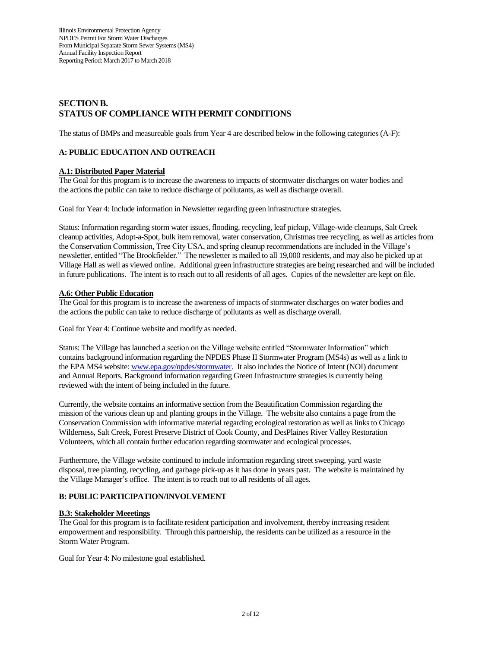# **SECTION B. STATUS OF COMPLIANCE WITH PERMIT CONDITIONS**

The status of BMPs and measureable goals from Year 4 are described below in the following categories (A-F):

## **A: PUBLIC EDUCATION AND OUTREACH**

## **A.1: Distributed Paper Material**

The Goal for this program is to increase the awareness to impacts of stormwater discharges on water bodies and the actions the public can take to reduce discharge of pollutants, as well as discharge overall.

Goal for Year 4: Include information in Newsletter regarding green infrastructure strategies.

Status: Information regarding storm water issues, flooding, recycling, leaf pickup, Village-wide cleanups, Salt Creek cleanup activities, Adopt-a-Spot, bulk item removal, water conservation, Christmas tree recycling, as well as articles from the Conservation Commission, Tree City USA, and spring cleanup recommendations are included in the Village's newsletter, entitled "The Brookfielder." The newsletter is mailed to all 19,000 residents, and may also be picked up at Village Hall as well as viewed online. Additional green infrastructure strategies are being researched and will be included in future publications. The intent is to reach out to all residents of all ages. Copies of the newsletter are kept on file.

### **A.6: Other Public Education**

The Goal for this program is to increase the awareness of impacts of stormwater discharges on water bodies and the actions the public can take to reduce discharge of pollutants as well as discharge overall.

Goal for Year 4: Continue website and modify as needed.

Status: The Village has launched a section on the Village website entitled "Stormwater Information" which contains background information regarding the NPDES Phase II Stormwater Program (MS4s) as well as a link to the EPA MS4 website[: www.epa.gov/npdes/stormwater.](http://www.epa.gov/npdes/stormwater) It also includes the Notice of Intent (NOI) document and Annual Reports. Background information regarding Green Infrastructure strategies is currently being reviewed with the intent of being included in the future.

Currently, the website contains an informative section from the Beautification Commission regarding the mission of the various clean up and planting groups in the Village. The website also contains a page from the Conservation Commission with informative material regarding ecological restoration as well as links to Chicago Wilderness, Salt Creek, Forest Preserve District of Cook County, and DesPlaines River Valley Restoration Volunteers, which all contain further education regarding stormwater and ecological processes.

Furthermore, the Village website continued to include information regarding street sweeping, yard waste disposal, tree planting, recycling, and garbage pick-up as it has done in years past. The website is maintained by the Village Manager's office. The intent is to reach out to all residents of all ages.

## **B: PUBLIC PARTICIPATION/INVOLVEMENT**

### **B.3: Stakeholder Meeetings**

The Goal for this program is to facilitate resident participation and involvement, thereby increasing resident empowerment and responsibility. Through this partnership, the residents can be utilized as a resource in the Storm Water Program.

Goal for Year 4: No milestone goal established.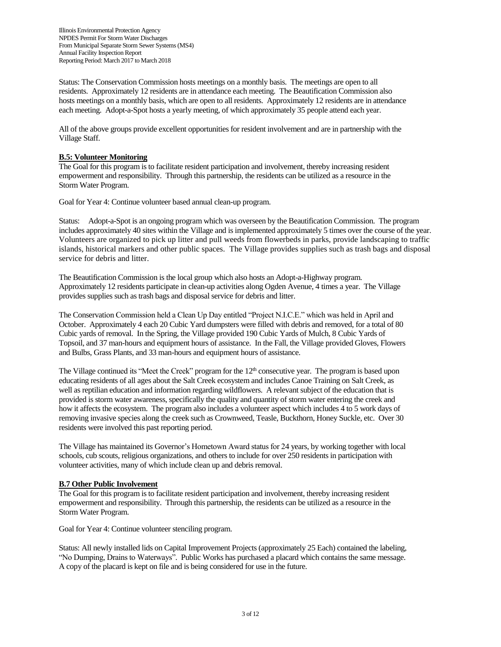Status: The Conservation Commission hosts meetings on a monthly basis. The meetings are open to all residents. Approximately 12 residents are in attendance each meeting. The Beautification Commission also hosts meetings on a monthly basis, which are open to all residents. Approximately 12 residents are in attendance each meeting. Adopt-a-Spot hosts a yearly meeting, of which approximately 35 people attend each year.

All of the above groups provide excellent opportunities for resident involvement and are in partnership with the Village Staff.

## **B.5: Volunteer Monitoring**

The Goal for this program is to facilitate resident participation and involvement, thereby increasing resident empowerment and responsibility. Through this partnership, the residents can be utilized as a resource in the Storm Water Program.

Goal for Year 4: Continue volunteer based annual clean-up program.

Status: Adopt-a-Spot is an ongoing program which was overseen by the Beautification Commission. The program includes approximately 40 sites within the Village and is implemented approximately 5 times over the course of the year. Volunteers are organized to pick up litter and pull weeds from flowerbeds in parks, provide landscaping to traffic islands, historical markers and other public spaces. The Village provides supplies such as trash bags and disposal service for debris and litter.

The Beautification Commission is the local group which also hosts an Adopt-a-Highway program. Approximately 12 residents participate in clean-up activities along Ogden Avenue, 4 times a year. The Village provides supplies such as trash bags and disposal service for debris and litter.

The Conservation Commission held a Clean Up Day entitled "Project N.I.C.E." which was held in April and October. Approximately 4 each 20 Cubic Yard dumpsters were filled with debris and removed, for a total of 80 Cubic yards of removal. In the Spring, the Village provided 190 Cubic Yards of Mulch, 8 Cubic Yards of Topsoil, and 37 man-hours and equipment hours of assistance. In the Fall, the Village provided Gloves, Flowers and Bulbs, Grass Plants, and 33 man-hours and equipment hours of assistance.

The Village continued its "Meet the Creek" program for the  $12<sup>th</sup>$  consecutive year. The program is based upon educating residents of all ages about the Salt Creek ecosystem and includes Canoe Training on Salt Creek, as well as reptilian education and information regarding wildflowers. A relevant subject of the education that is provided is storm water awareness, specifically the quality and quantity of storm water entering the creek and how it affects the ecosystem. The program also includes a volunteer aspect which includes 4 to 5 work days of removing invasive species along the creek such as Crownweed, Teasle, Buckthorn, Honey Suckle, etc. Over 30 residents were involved this past reporting period.

The Village has maintained its Governor's Hometown Award status for 24 years, by working together with local schools, cub scouts, religious organizations, and others to include for over 250 residents in participation with volunteer activities, many of which include clean up and debris removal.

### **B.7 Other Public Involvement**

The Goal for this program is to facilitate resident participation and involvement, thereby increasing resident empowerment and responsibility. Through this partnership, the residents can be utilized as a resource in the Storm Water Program.

Goal for Year 4: Continue volunteer stenciling program.

Status: All newly installed lids on Capital Improvement Projects (approximately 25 Each) contained the labeling, "No Dumping, Drains to Waterways". Public Works has purchased a placard which contains the same message. A copy of the placard is kept on file and is being considered for use in the future.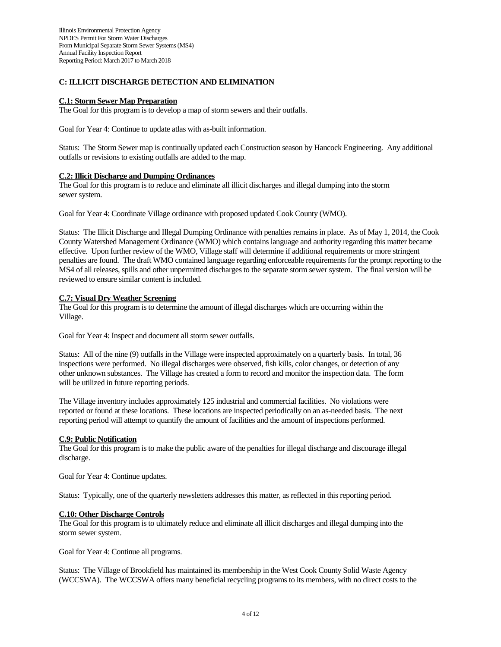## **C: ILLICIT DISCHARGE DETECTION AND ELIMINATION**

### **C.1: Storm Sewer Map Preparation**

The Goal for this program is to develop a map of storm sewers and their outfalls.

Goal for Year 4: Continue to update atlas with as-built information.

Status: The Storm Sewer map is continually updated each Construction season by Hancock Engineering. Any additional outfalls or revisions to existing outfalls are added to the map.

### **C.2: Illicit Discharge and Dumping Ordinances**

The Goal for this program is to reduce and eliminate all illicit discharges and illegal dumping into the storm sewer system.

Goal for Year 4: Coordinate Village ordinance with proposed updated Cook County (WMO).

Status: The Illicit Discharge and Illegal Dumping Ordinance with penalties remains in place. As of May 1, 2014, the Cook County Watershed Management Ordinance (WMO) which contains language and authority regarding this matter became effective. Upon further review of the WMO, Village staff will determine if additional requirements or more stringent penalties are found. The draft WMO contained language regarding enforceable requirements for the prompt reporting to the MS4 of all releases, spills and other unpermitted discharges to the separate storm sewer system. The final version will be reviewed to ensure similar content is included.

## **C.7: Visual Dry Weather Screening**

The Goal for this program is to determine the amount of illegal discharges which are occurring within the Village.

Goal for Year 4: Inspect and document all storm sewer outfalls.

Status: All of the nine (9) outfalls in the Village were inspected approximately on a quarterly basis. In total, 36 inspections were performed. No illegal discharges were observed, fish kills, color changes, or detection of any other unknown substances. The Village has created a form to record and monitor the inspection data. The form will be utilized in future reporting periods.

The Village inventory includes approximately 125 industrial and commercial facilities. No violations were reported or found at these locations. These locations are inspected periodically on an as-needed basis. The next reporting period will attempt to quantify the amount of facilities and the amount of inspections performed.

### **C.9: Public Notification**

The Goal for this program is to make the public aware of the penalties for illegal discharge and discourage illegal discharge.

Goal for Year 4: Continue updates.

Status: Typically, one of the quarterly newsletters addresses this matter, as reflected in this reporting period.

### **C.10: Other Discharge Controls**

The Goal for this program is to ultimately reduce and eliminate all illicit discharges and illegal dumping into the storm sewer system.

Goal for Year 4: Continue all programs.

Status: The Village of Brookfield has maintained its membership in the West Cook County Solid Waste Agency (WCCSWA). The WCCSWA offers many beneficial recycling programs to its members, with no direct costs to the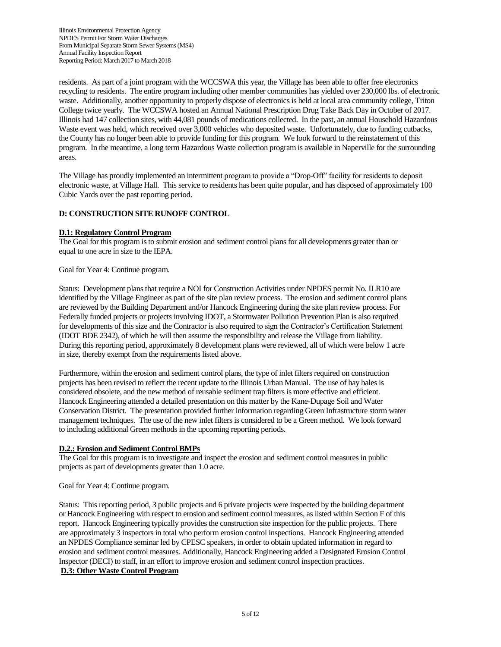residents. As part of a joint program with the WCCSWA this year, the Village has been able to offer free electronics recycling to residents. The entire program including other member communities has yielded over 230,000 lbs. of electronic waste. Additionally, another opportunity to properly dispose of electronics is held at local area community college, Triton College twice yearly. The WCCSWA hosted an Annual National Prescription Drug Take Back Day in October of 2017. Illinois had 147 collection sites, with 44,081 pounds of medications collected. In the past, an annual Household Hazardous Waste event was held, which received over 3,000 vehicles who deposited waste. Unfortunately, due to funding cutbacks, the County has no longer been able to provide funding for this program. We look forward to the reinstatement of this program. In the meantime, a long term Hazardous Waste collection program is available in Naperville for the surrounding areas.

The Village has proudly implemented an intermittent program to provide a "Drop-Off" facility for residents to deposit electronic waste, at Village Hall. This service to residents has been quite popular, and has disposed of approximately 100 Cubic Yards over the past reporting period.

## **D: CONSTRUCTION SITE RUNOFF CONTROL**

### **D.1: Regulatory Control Program**

The Goal for this program is to submit erosion and sediment control plans for all developments greater than or equal to one acre in size to the IEPA.

Goal for Year 4: Continue program.

Status: Development plans that require a NOI for Construction Activities under NPDES permit No. ILR10 are identified by the Village Engineer as part of the site plan review process. The erosion and sediment control plans are reviewed by the Building Department and/or Hancock Engineering during the site plan review process. For Federally funded projects or projects involving IDOT, a Stormwater Pollution Prevention Plan is also required for developments of this size and the Contractor is also required to sign the Contractor's Certification Statement (IDOT BDE 2342), of which he will then assume the responsibility and release the Village from liability. During this reporting period, approximately 8 development plans were reviewed, all of which were below 1 acre in size, thereby exempt from the requirements listed above.

Furthermore, within the erosion and sediment control plans, the type of inlet filters required on construction projects has been revised to reflect the recent update to the Illinois Urban Manual. The use of hay bales is considered obsolete, and the new method of reusable sediment trap filters is more effective and efficient. Hancock Engineering attended a detailed presentation on this matter by the Kane-Dupage Soil and Water Conservation District. The presentation provided further information regarding Green Infrastructure storm water management techniques. The use of the new inlet filters is considered to be a Green method. We look forward to including additional Green methods in the upcoming reporting periods.

### **D.2.: Erosion and Sediment Control BMPs**

The Goal for this program is to investigate and inspect the erosion and sediment control measures in public projects as part of developments greater than 1.0 acre.

Goal for Year 4: Continue program.

Status: This reporting period, 3 public projects and 6 private projects were inspected by the building department or Hancock Engineering with respect to erosion and sediment control measures, as listed within Section F of this report. Hancock Engineering typically provides the construction site inspection for the public projects. There are approximately 3 inspectors in total who perform erosion control inspections. Hancock Engineering attended an NPDES Compliance seminar led by CPESC speakers, in order to obtain updated information in regard to erosion and sediment control measures. Additionally, Hancock Engineering added a Designated Erosion Control Inspector (DECI) to staff, in an effort to improve erosion and sediment control inspection practices.

## **D.3: Other Waste Control Program**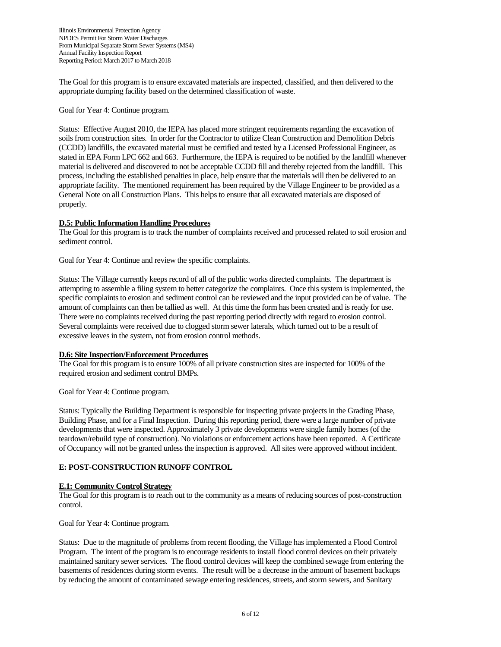The Goal for this program is to ensure excavated materials are inspected, classified, and then delivered to the appropriate dumping facility based on the determined classification of waste.

Goal for Year 4: Continue program.

Status: Effective August 2010, the IEPA has placed more stringent requirements regarding the excavation of soils from construction sites. In order for the Contractor to utilize Clean Construction and Demolition Debris (CCDD) landfills, the excavated material must be certified and tested by a Licensed Professional Engineer, as stated in EPA Form LPC 662 and 663. Furthermore, the IEPA is required to be notified by the landfill whenever material is delivered and discovered to not be acceptable CCDD fill and thereby rejected from the landfill. This process, including the established penalties in place, help ensure that the materials will then be delivered to an appropriate facility. The mentioned requirement has been required by the Village Engineer to be provided as a General Note on all Construction Plans. This helps to ensure that all excavated materials are disposed of properly.

### **D.5: Public Information Handling Procedures**

The Goal for this program is to track the number of complaints received and processed related to soil erosion and sediment control.

Goal for Year 4: Continue and review the specific complaints.

Status: The Village currently keeps record of all of the public works directed complaints. The department is attempting to assemble a filing system to better categorize the complaints. Once this system is implemented, the specific complaints to erosion and sediment control can be reviewed and the input provided can be of value. The amount of complaints can then be tallied as well. At this time the form has been created and is ready for use. There were no complaints received during the past reporting period directly with regard to erosion control. Several complaints were received due to clogged storm sewer laterals, which turned out to be a result of excessive leaves in the system, not from erosion control methods.

### **D.6: Site Inspection/Enforcement Procedures**

The Goal for this program is to ensure 100% of all private construction sites are inspected for 100% of the required erosion and sediment control BMPs.

Goal for Year 4: Continue program.

Status: Typically the Building Department is responsible for inspecting private projects in the Grading Phase, Building Phase, and for a Final Inspection. During this reporting period, there were a large number of private developments that were inspected. Approximately 3 private developments were single family homes (of the teardown/rebuild type of construction). No violations or enforcement actions have been reported. A Certificate of Occupancy will not be granted unless the inspection is approved. All sites were approved without incident.

## **E: POST-CONSTRUCTION RUNOFF CONTROL**

### **E.1: Community Control Strategy**

The Goal for this program is to reach out to the community as a means of reducing sources of post-construction control.

Goal for Year 4: Continue program.

Status: Due to the magnitude of problems from recent flooding, the Village has implemented a Flood Control Program. The intent of the program is to encourage residents to install flood control devices on their privately maintained sanitary sewer services. The flood control devices will keep the combined sewage from entering the basements of residences during storm events. The result will be a decrease in the amount of basement backups by reducing the amount of contaminated sewage entering residences, streets, and storm sewers, and Sanitary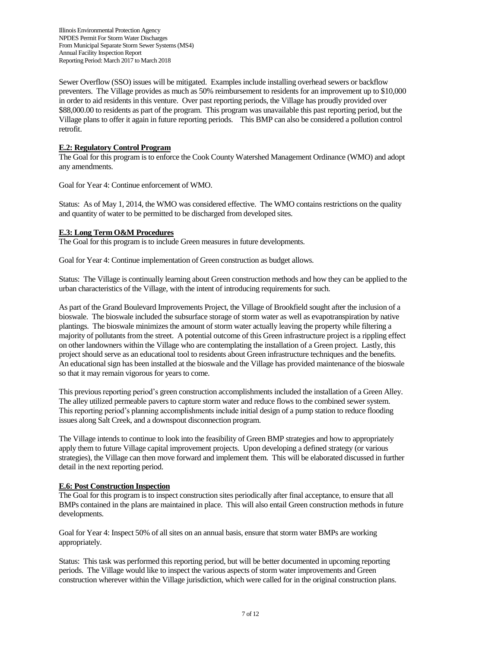Sewer Overflow (SSO) issues will be mitigated. Examples include installing overhead sewers or backflow preventers. The Village provides as much as 50% reimbursement to residents for an improvement up to \$10,000 in order to aid residents in this venture. Over past reporting periods, the Village has proudly provided over \$88,000.00 to residents as part of the program. This program was unavailable this past reporting period, but the Village plans to offer it again in future reporting periods. This BMP can also be considered a pollution control retrofit.

## **E.2: Regulatory Control Program**

The Goal for this program is to enforce the Cook County Watershed Management Ordinance (WMO) and adopt any amendments.

Goal for Year 4: Continue enforcement of WMO.

Status: As of May 1, 2014, the WMO was considered effective. The WMO contains restrictions on the quality and quantity of water to be permitted to be discharged from developed sites.

### **E.3: Long Term O&M Procedures**

The Goal for this program is to include Green measures in future developments.

Goal for Year 4: Continue implementation of Green construction as budget allows.

Status: The Village is continually learning about Green construction methods and how they can be applied to the urban characteristics of the Village, with the intent of introducing requirements for such.

As part of the Grand Boulevard Improvements Project, the Village of Brookfield sought after the inclusion of a bioswale. The bioswale included the subsurface storage of storm water as well as evapotranspiration by native plantings. The bioswale minimizes the amount of storm water actually leaving the property while filtering a majority of pollutants from the street. A potential outcome of this Green infrastructure project is a rippling effect on other landowners within the Village who are contemplating the installation of a Green project. Lastly, this project should serve as an educational tool to residents about Green infrastructure techniques and the benefits. An educational sign has been installed at the bioswale and the Village has provided maintenance of the bioswale so that it may remain vigorous for years to come.

This previous reporting period's green construction accomplishments included the installation of a Green Alley. The alley utilized permeable pavers to capture storm water and reduce flows to the combined sewer system. This reporting period's planning accomplishments include initial design of a pump station to reduce flooding issues along Salt Creek, and a downspout disconnection program.

The Village intends to continue to look into the feasibility of Green BMP strategies and how to appropriately apply them to future Village capital improvement projects. Upon developing a defined strategy (or various strategies), the Village can then move forward and implement them. This will be elaborated discussed in further detail in the next reporting period.

### **E.6: Post Construction Inspection**

The Goal for this program is to inspect construction sites periodically after final acceptance, to ensure that all BMPs contained in the plans are maintained in place. This will also entail Green construction methods in future developments.

Goal for Year 4: Inspect 50% of all sites on an annual basis, ensure that storm water BMPs are working appropriately.

Status: This task was performed this reporting period, but will be better documented in upcoming reporting periods. The Village would like to inspect the various aspects of storm water improvements and Green construction wherever within the Village jurisdiction, which were called for in the original construction plans.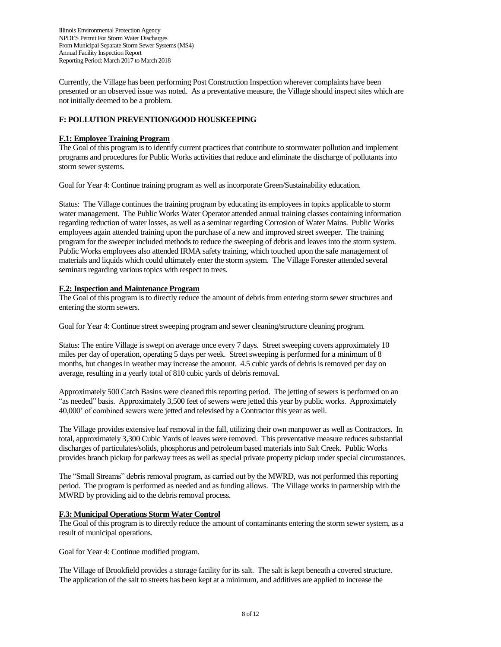Currently, the Village has been performing Post Construction Inspection wherever complaints have been presented or an observed issue was noted. As a preventative measure, the Village should inspect sites which are not initially deemed to be a problem.

## **F: POLLUTION PREVENTION/GOOD HOUSKEEPING**

### **F.1: Employee Training Program**

The Goal of this program is to identify current practices that contribute to stormwater pollution and implement programs and procedures for Public Works activities that reduce and eliminate the discharge of pollutants into storm sewer systems.

Goal for Year 4: Continue training program as well as incorporate Green/Sustainability education.

Status: The Village continues the training program by educating its employees in topics applicable to storm water management. The Public Works Water Operator attended annual training classes containing information regarding reduction of water losses, as well as a seminar regarding Corrosion of Water Mains. Public Works employees again attended training upon the purchase of a new and improved street sweeper. The training program for the sweeper included methods to reduce the sweeping of debris and leaves into the storm system. Public Works employees also attended IRMA safety training, which touched upon the safe management of materials and liquids which could ultimately enter the storm system. The Village Forester attended several seminars regarding various topics with respect to trees.

## **F.2: Inspection and Maintenance Program**

The Goal of this program is to directly reduce the amount of debris from entering storm sewer structures and entering the storm sewers.

Goal for Year 4: Continue street sweeping program and sewer cleaning/structure cleaning program.

Status: The entire Village is swept on average once every 7 days. Street sweeping covers approximately 10 miles per day of operation, operating 5 days per week. Street sweeping is performed for a minimum of 8 months, but changes in weather may increase the amount. 4.5 cubic yards of debris is removed per day on average, resulting in a yearly total of 810 cubic yards of debris removal.

Approximately 500 Catch Basins were cleaned this reporting period. The jetting of sewers is performed on an "as needed" basis. Approximately 3,500 feet of sewers were jetted this year by public works. Approximately 40,000' of combined sewers were jetted and televised by a Contractor this year as well.

The Village provides extensive leaf removal in the fall, utilizing their own manpower as well as Contractors. In total, approximately 3,300 Cubic Yards of leaves were removed. This preventative measure reduces substantial discharges of particulates/solids, phosphorus and petroleum based materials into Salt Creek. Public Works provides branch pickup for parkway trees as well as special private property pickup under special circumstances.

The "Small Streams" debris removal program, as carried out by the MWRD, was not performed this reporting period. The program is performed as needed and as funding allows. The Village works in partnership with the MWRD by providing aid to the debris removal process.

### **F.3: Municipal Operations Storm Water Control**

The Goal of this program is to directly reduce the amount of contaminants entering the storm sewer system, as a result of municipal operations.

Goal for Year 4: Continue modified program.

The Village of Brookfield provides a storage facility for its salt. The salt is kept beneath a covered structure. The application of the salt to streets has been kept at a minimum, and additives are applied to increase the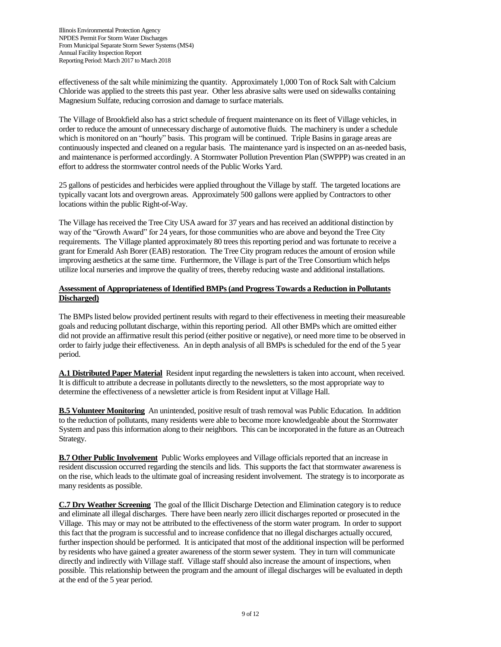effectiveness of the salt while minimizing the quantity. Approximately 1,000 Ton of Rock Salt with Calcium Chloride was applied to the streets this past year. Other less abrasive salts were used on sidewalks containing Magnesium Sulfate, reducing corrosion and damage to surface materials.

The Village of Brookfield also has a strict schedule of frequent maintenance on its fleet of Village vehicles, in order to reduce the amount of unnecessary discharge of automotive fluids. The machinery is under a schedule which is monitored on an "hourly" basis. This program will be continued. Triple Basins in garage areas are continuously inspected and cleaned on a regular basis. The maintenance yard is inspected on an as-needed basis, and maintenance is performed accordingly. A Stormwater Pollution Prevention Plan (SWPPP) was created in an effort to address the stormwater control needs of the Public Works Yard.

25 gallons of pesticides and herbicides were applied throughout the Village by staff. The targeted locations are typically vacant lots and overgrown areas. Approximately 500 gallons were applied by Contractors to other locations within the public Right-of-Way.

The Village has received the Tree City USA award for 37 years and has received an additional distinction by way of the "Growth Award" for 24 years, for those communities who are above and beyond the Tree City requirements. The Village planted approximately 80 trees this reporting period and was fortunate to receive a grant for Emerald Ash Borer (EAB) restoration. The Tree City program reduces the amount of erosion while improving aesthetics at the same time. Furthermore, the Village is part of the Tree Consortium which helps utilize local nurseries and improve the quality of trees, thereby reducing waste and additional installations.

## **Assessment of Appropriateness of Identified BMPs (and Progress Towards a Reduction in Pollutants Discharged)**

The BMPs listed below provided pertinent results with regard to their effectiveness in meeting their measureable goals and reducing pollutant discharge, within this reporting period. All other BMPs which are omitted either did not provide an affirmative result this period (either positive or negative), or need more time to be observed in order to fairly judge their effectiveness. An in depth analysis of all BMPs is scheduled for the end of the 5 year period.

**A.1 Distributed Paper Material** Resident input regarding the newsletters is taken into account, when received. It is difficult to attribute a decrease in pollutants directly to the newsletters, so the most appropriate way to determine the effectiveness of a newsletter article is from Resident input at Village Hall.

**B.5 Volunteer Monitoring** An unintended, positive result of trash removal was Public Education. In addition to the reduction of pollutants, many residents were able to become more knowledgeable about the Stormwater System and pass this information along to their neighbors. This can be incorporated in the future as an Outreach Strategy.

**B.7 Other Public Involvement** Public Works employees and Village officials reported that an increase in resident discussion occurred regarding the stencils and lids. This supports the fact that stormwater awareness is on the rise, which leads to the ultimate goal of increasing resident involvement. The strategy is to incorporate as many residents as possible.

**C.7 Dry Weather Screening** The goal of the Illicit Discharge Detection and Elimination category is to reduce and eliminate all illegal discharges. There have been nearly zero illicit discharges reported or prosecuted in the Village. This may or may not be attributed to the effectiveness of the storm water program. In order to support this fact that the program is successful and to increase confidence that no illegal discharges actually occured, further inspection should be performed. It is anticipated that most of the additional inspection will be performed by residents who have gained a greater awareness of the storm sewer system. They in turn will communicate directly and indirectly with Village staff. Village staff should also increase the amount of inspections, when possible. This relationship between the program and the amount of illegal discharges will be evaluated in depth at the end of the 5 year period.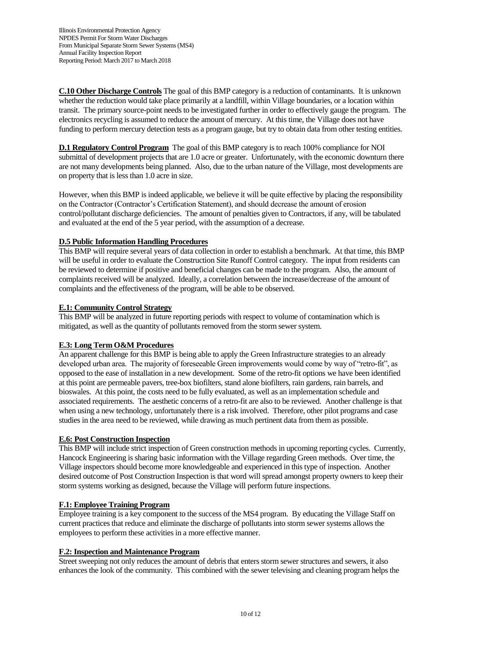**C.10 Other Discharge Controls** The goal of this BMP category is a reduction of contaminants. It is unknown whether the reduction would take place primarily at a landfill, within Village boundaries, or a location within transit. The primary source-point needs to be investigated further in order to effectively gauge the program. The electronics recycling is assumed to reduce the amount of mercury. At this time, the Village does not have funding to perform mercury detection tests as a program gauge, but try to obtain data from other testing entities.

**D.1 Regulatory Control Program** The goal of this BMP category is to reach 100% compliance for NOI submittal of development projects that are 1.0 acre or greater. Unfortunately, with the economic downturn there are not many developments being planned. Also, due to the urban nature of the Village, most developments are on property that is less than 1.0 acre in size.

However, when this BMP is indeed applicable, we believe it will be quite effective by placing the responsibility on the Contractor (Contractor's Certification Statement), and should decrease the amount of erosion control/pollutant discharge deficiencies. The amount of penalties given to Contractors, if any, will be tabulated and evaluated at the end of the 5 year period, with the assumption of a decrease.

## **D.5 Public Information Handling Procedures**

This BMP will require several years of data collection in order to establish a benchmark. At that time, this BMP will be useful in order to evaluate the Construction Site Runoff Control category. The input from residents can be reviewed to determine if positive and beneficial changes can be made to the program. Also, the amount of complaints received will be analyzed. Ideally, a correlation between the increase/decrease of the amount of complaints and the effectiveness of the program, will be able to be observed.

## **E.1: Community Control Strategy**

This BMP will be analyzed in future reporting periods with respect to volume of contamination which is mitigated, as well as the quantity of pollutants removed from the storm sewer system.

## **E.3: Long Term O&M Procedures**

An apparent challenge for this BMP is being able to apply the Green Infrastructure strategies to an already developed urban area. The majority of foreseeable Green improvements would come by way of "retro-fit", as opposed to the ease of installation in a new development. Some of the retro-fit options we have been identified at this point are permeable pavers, tree-box biofilters, stand alone biofilters, rain gardens, rain barrels, and bioswales. At this point, the costs need to be fully evaluated, as well as an implementation schedule and associated requirements. The aesthetic concerns of a retro-fit are also to be reviewed. Another challenge is that when using a new technology, unfortunately there is a risk involved. Therefore, other pilot programs and case studies in the area need to be reviewed, while drawing as much pertinent data from them as possible.

### **E.6: Post Construction Inspection**

This BMP will include strict inspection of Green construction methods in upcoming reporting cycles. Currently, Hancock Engineering is sharing basic information with the Village regarding Green methods. Over time, the Village inspectors should become more knowledgeable and experienced in this type of inspection. Another desired outcome of Post Construction Inspection is that word will spread amongst property owners to keep their storm systems working as designed, because the Village will perform future inspections.

## **F.1: Employee Training Program**

Employee training is a key component to the success of the MS4 program. By educating the Village Staff on current practices that reduce and eliminate the discharge of pollutants into storm sewer systems allows the employees to perform these activities in a more effective manner.

### **F.2: Inspection and Maintenance Program**

Street sweeping not only reduces the amount of debris that enters storm sewer structures and sewers, it also enhances the look of the community. This combined with the sewer televising and cleaning program helps the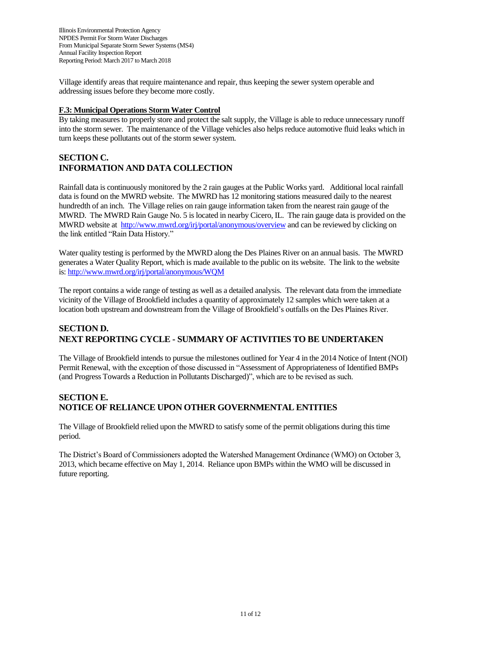Village identify areas that require maintenance and repair, thus keeping the sewer system operable and addressing issues before they become more costly.

## **F.3: Municipal Operations Storm Water Control**

By taking measures to properly store and protect the salt supply, the Village is able to reduce unnecessary runoff into the storm sewer. The maintenance of the Village vehicles also helps reduce automotive fluid leaks which in turn keeps these pollutants out of the storm sewer system.

# **SECTION C. INFORMATION AND DATA COLLECTION**

Rainfall data is continuously monitored by the 2 rain gauges at the Public Works yard. Additional local rainfall data is found on the MWRD website. The MWRD has 12 monitoring stations measured daily to the nearest hundredth of an inch. The Village relies on rain gauge information taken from the nearest rain gauge of the MWRD. The MWRD Rain Gauge No. 5 is located in nearby Cicero, IL. The rain gauge data is provided on the MWRD website at<http://www.mwrd.org/irj/portal/anonymous/overview> and can be reviewed by clicking on the link entitled "Rain Data History."

Water quality testing is performed by the MWRD along the Des Plaines River on an annual basis. The MWRD generates a Water Quality Report, which is made available to the public on its website. The link to the website is:<http://www.mwrd.org/irj/portal/anonymous/WQM>

The report contains a wide range of testing as well as a detailed analysis. The relevant data from the immediate vicinity of the Village of Brookfield includes a quantity of approximately 12 samples which were taken at a location both upstream and downstream from the Village of Brookfield's outfalls on the Des Plaines River.

# **SECTION D. NEXT REPORTING CYCLE - SUMMARY OF ACTIVITIES TO BE UNDERTAKEN**

The Village of Brookfield intends to pursue the milestones outlined for Year 4 in the 2014 Notice of Intent (NOI) Permit Renewal, with the exception of those discussed in "Assessment of Appropriateness of Identified BMPs (and Progress Towards a Reduction in Pollutants Discharged)", which are to be revised as such.

## **SECTION E. NOTICE OF RELIANCE UPON OTHER GOVERNMENTAL ENTITIES**

The Village of Brookfield relied upon the MWRD to satisfy some of the permit obligations during this time period.

The District's Board of Commissioners adopted the Watershed Management Ordinance (WMO) on October 3, 2013, which became effective on May 1, 2014. Reliance upon BMPs within the WMO will be discussed in future reporting.